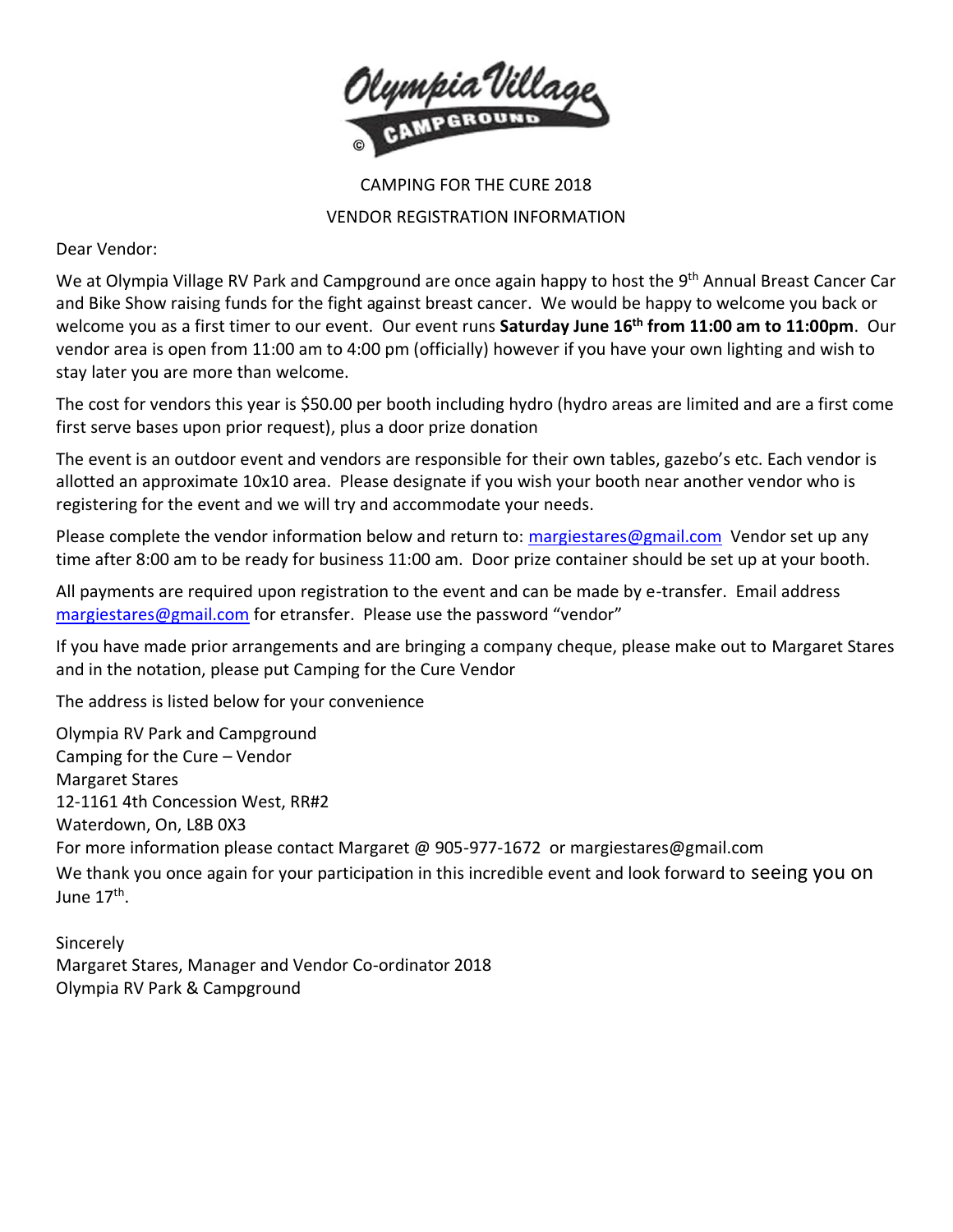

## CAMPING FOR THE CURE 2018 VENDOR REGISTRATION INFORMATION

Dear Vendor:

We at Olympia Village RV Park and Campground are once again happy to host the 9<sup>th</sup> Annual Breast Cancer Car and Bike Show raising funds for the fight against breast cancer. We would be happy to welcome you back or welcome you as a first timer to our event. Our event runs **Saturday June 16 th from 11:00 am to 11:00pm**. Our vendor area is open from 11:00 am to 4:00 pm (officially) however if you have your own lighting and wish to stay later you are more than welcome.

The cost for vendors this year is \$50.00 per booth including hydro (hydro areas are limited and are a first come first serve bases upon prior request), plus a door prize donation

The event is an outdoor event and vendors are responsible for their own tables, gazebo's etc. Each vendor is allotted an approximate 10x10 area. Please designate if you wish your booth near another vendor who is registering for the event and we will try and accommodate your needs.

Please complete the vendor information below and return to: [margiestares@gmail.com](mailto:margiestares@gmail.com) Vendor set up any time after 8:00 am to be ready for business 11:00 am. Door prize container should be set up at your booth.

All payments are required upon registration to the event and can be made by e-transfer. Email address [margiestares@gmail.com](mailto:margiestares@gmail.com) for etransfer. Please use the password "vendor"

If you have made prior arrangements and are bringing a company cheque, please make out to Margaret Stares and in the notation, please put Camping for the Cure Vendor

The address is listed below for your convenience

Olympia RV Park and Campground Camping for the Cure – Vendor Margaret Stares 12-1161 4th Concession West, RR#2 Waterdown, On, L8B 0X3 For more information please contact Margaret @ 905-977-1672 or margiestares@gmail.com We thank you once again for your participation in this incredible event and look forward to seeing you on June 17<sup>th</sup>.

Sincerely Margaret Stares, Manager and Vendor Co-ordinator 2018 Olympia RV Park & Campground